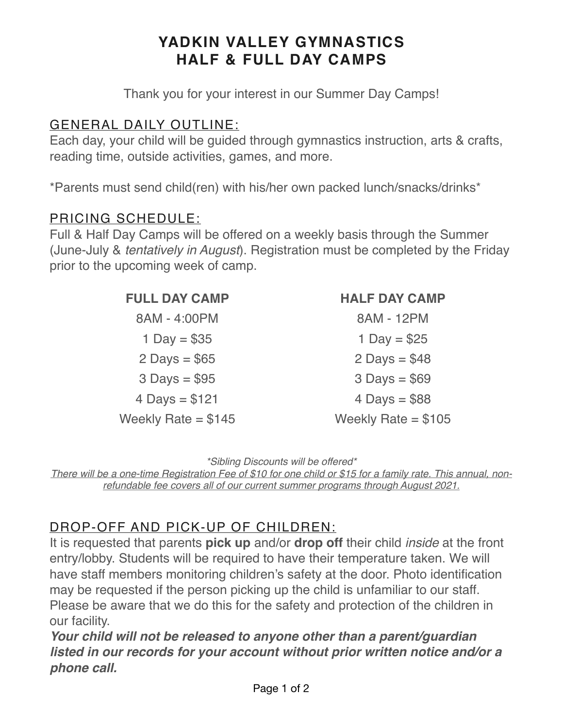# **YADKIN VALLEY GYMNASTICS HALF & FULL DAY CAMPS**

Thank you for your interest in our Summer Day Camps!

#### GENERAL DAILY OUTLINE:

Each day, your child will be guided through gymnastics instruction, arts & crafts, reading time, outside activities, games, and more.

\*Parents must send child(ren) with his/her own packed lunch/snacks/drinks\*

#### PRICING SCHEDULE:

Full & Half Day Camps will be offered on a weekly basis through the Summer (June-July & *tentatively in August*). Registration must be completed by the Friday prior to the upcoming week of camp.

# 8AM - 4:00PM 8AM - 12PM  $1 \text{ Dav} = $35$  1 Day = \$25  $2 \text{ Days} = $65$   $2 \text{ Days} = $48$  $3 \text{ Days} = $95$   $3 \text{ Days} = $69$  $4 \text{ Days} = $121$  4 Days = \$88

Weekly Rate =  $$145$  Weekly Rate =  $$105$ 

### **FULL DAY CAMP HALF DAY CAMP**

*\*Sibling Discounts will be offered\** 

*There will be a one-time Registration Fee of \$10 for one child or \$15 for a family rate. This annual, nonrefundable fee covers all of our current summer programs through August 2021.* 

## DROP-OFF AND PICK-UP OF CHILDREN:

It is requested that parents **pick up** and/or **drop off** their child *inside* at the front entry/lobby. Students will be required to have their temperature taken. We will have staff members monitoring children's safety at the door. Photo identification may be requested if the person picking up the child is unfamiliar to our staff. Please be aware that we do this for the safety and protection of the children in our facility.

*Your child will not be released to anyone other than a parent/guardian listed in our records for your account without prior written notice and/or a phone call.*